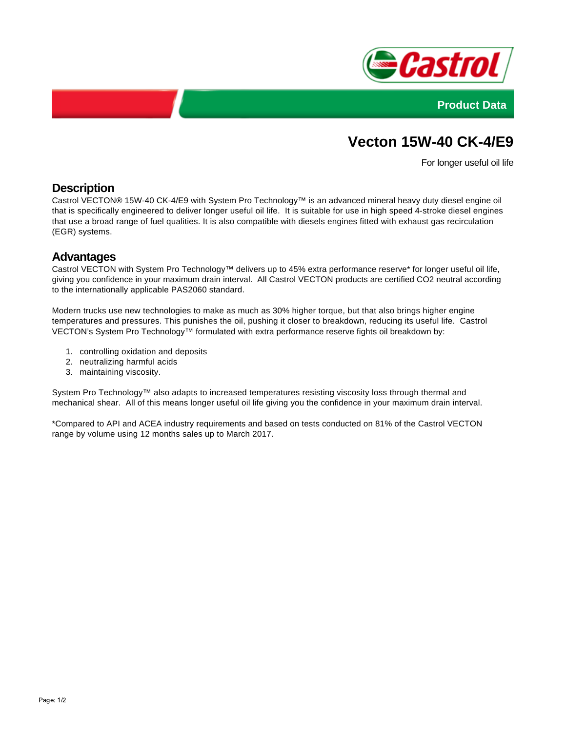



# **Vecton 15W-40 CK-4/E9**

For longer useful oil life

## **Description**

Castrol VECTON® 15W-40 CK-4/E9 with System Pro Technology™ is an advanced mineral heavy duty diesel engine oil that is specifically engineered to deliver longer useful oil life. It is suitable for use in high speed 4-stroke diesel engines that use a broad range of fuel qualities. It is also compatible with diesels engines fitted with exhaust gas recirculation (EGR) systems.

### **Advantages**

Castrol VECTON with System Pro Technology™ delivers up to 45% extra performance reserve\* for longer useful oil life, giving you confidence in your maximum drain interval. All Castrol VECTON products are certified CO2 neutral according to the internationally applicable PAS2060 standard.

Modern trucks use new technologies to make as much as 30% higher torque, but that also brings higher engine temperatures and pressures. This punishes the oil, pushing it closer to breakdown, reducing its useful life. Castrol VECTON's System Pro Technology™ formulated with extra performance reserve fights oil breakdown by:

- 1. controlling oxidation and deposits
- 2. neutralizing harmful acids
- 3. maintaining viscosity.

System Pro Technology™ also adapts to increased temperatures resisting viscosity loss through thermal and mechanical shear. All of this means longer useful oil life giving you the confidence in your maximum drain interval.

\*Compared to API and ACEA industry requirements and based on tests conducted on 81% of the Castrol VECTON range by volume using 12 months sales up to March 2017.